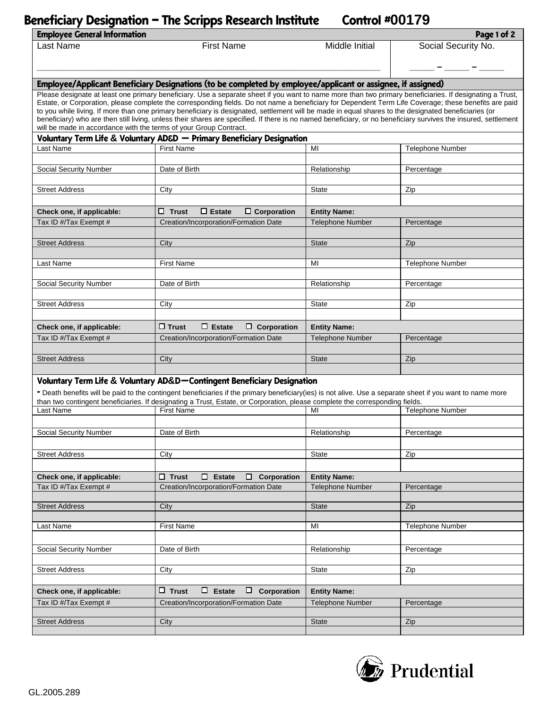## **Beneficiary Designation – The Scripps Research Institute Control #00179**

| <b>Employee General Information</b><br>Page 1 of 2                                                                                                                                                                                                                                                                                                                                                                                                                        |                                                                                                                              |                                                            |                         |  |
|---------------------------------------------------------------------------------------------------------------------------------------------------------------------------------------------------------------------------------------------------------------------------------------------------------------------------------------------------------------------------------------------------------------------------------------------------------------------------|------------------------------------------------------------------------------------------------------------------------------|------------------------------------------------------------|-------------------------|--|
| Last Name                                                                                                                                                                                                                                                                                                                                                                                                                                                                 | <b>First Name</b>                                                                                                            | Middle Initial                                             | Social Security No.     |  |
|                                                                                                                                                                                                                                                                                                                                                                                                                                                                           |                                                                                                                              |                                                            |                         |  |
|                                                                                                                                                                                                                                                                                                                                                                                                                                                                           |                                                                                                                              |                                                            |                         |  |
| Employee/Applicant Beneficiary Designations (to be completed by employee/applicant or assignee, if assigned)                                                                                                                                                                                                                                                                                                                                                              |                                                                                                                              |                                                            |                         |  |
| Please designate at least one primary beneficiary. Use a separate sheet if you want to name more than two primary beneficiaries. If designating a Trust,<br>Estate, or Corporation, please complete the corresponding fields. Do not name a beneficiary for Dependent Term Life Coverage; these benefits are paid<br>to you while living. If more than one primary beneficiary is designated, settlement will be made in equal shares to the designated beneficiaries (or |                                                                                                                              |                                                            |                         |  |
| beneficiary) who are then still living, unless their shares are specified. If there is no named beneficiary, or no beneficiary survives the insured, settlement<br>will be made in accordance with the terms of your Group Contract.                                                                                                                                                                                                                                      |                                                                                                                              |                                                            |                         |  |
| Voluntary Term Life & Voluntary AD&D - Primary Beneficiary Designation                                                                                                                                                                                                                                                                                                                                                                                                    |                                                                                                                              |                                                            |                         |  |
| Last Name                                                                                                                                                                                                                                                                                                                                                                                                                                                                 | <b>First Name</b>                                                                                                            | MI                                                         | <b>Telephone Number</b> |  |
|                                                                                                                                                                                                                                                                                                                                                                                                                                                                           |                                                                                                                              |                                                            |                         |  |
| Social Security Number                                                                                                                                                                                                                                                                                                                                                                                                                                                    | Date of Birth                                                                                                                | Relationship                                               | Percentage              |  |
| <b>Street Address</b>                                                                                                                                                                                                                                                                                                                                                                                                                                                     | City                                                                                                                         | State                                                      | Zip                     |  |
|                                                                                                                                                                                                                                                                                                                                                                                                                                                                           |                                                                                                                              |                                                            |                         |  |
| Check one, if applicable:                                                                                                                                                                                                                                                                                                                                                                                                                                                 | $\Box$ Trust<br>$\Box$ Estate<br>$\Box$ Corporation                                                                          | <b>Entity Name:</b>                                        |                         |  |
| Tax ID #/Tax Exempt #                                                                                                                                                                                                                                                                                                                                                                                                                                                     | Creation/Incorporation/Formation Date                                                                                        | <b>Telephone Number</b>                                    | Percentage              |  |
|                                                                                                                                                                                                                                                                                                                                                                                                                                                                           |                                                                                                                              |                                                            |                         |  |
| <b>Street Address</b>                                                                                                                                                                                                                                                                                                                                                                                                                                                     | City                                                                                                                         | <b>State</b>                                               | Zip                     |  |
| Last Name                                                                                                                                                                                                                                                                                                                                                                                                                                                                 | <b>First Name</b>                                                                                                            | MI                                                         | Telephone Number        |  |
|                                                                                                                                                                                                                                                                                                                                                                                                                                                                           |                                                                                                                              |                                                            |                         |  |
| Social Security Number                                                                                                                                                                                                                                                                                                                                                                                                                                                    | Date of Birth                                                                                                                | Relationship                                               | Percentage              |  |
| <b>Street Address</b>                                                                                                                                                                                                                                                                                                                                                                                                                                                     | City                                                                                                                         | <b>State</b>                                               | Zip                     |  |
|                                                                                                                                                                                                                                                                                                                                                                                                                                                                           |                                                                                                                              |                                                            |                         |  |
| Check one, if applicable:                                                                                                                                                                                                                                                                                                                                                                                                                                                 | $\Box$ Trust<br>$\Box$ Estate<br>$\Box$ Corporation                                                                          | <b>Entity Name:</b>                                        |                         |  |
| Tax ID #/Tax Exempt #                                                                                                                                                                                                                                                                                                                                                                                                                                                     | Creation/Incorporation/Formation Date                                                                                        | <b>Telephone Number</b>                                    | Percentage              |  |
|                                                                                                                                                                                                                                                                                                                                                                                                                                                                           |                                                                                                                              |                                                            |                         |  |
| <b>Street Address</b>                                                                                                                                                                                                                                                                                                                                                                                                                                                     | City                                                                                                                         | <b>State</b>                                               | Zip                     |  |
|                                                                                                                                                                                                                                                                                                                                                                                                                                                                           |                                                                                                                              |                                                            |                         |  |
| Voluntary Term Life & Voluntary AD&D-Contingent Beneficiary Designation<br>- Death benefits will be paid to the contingent beneficiaries if the primary beneficiary(ies) is not alive. Use a separate sheet if you want to name more                                                                                                                                                                                                                                      |                                                                                                                              |                                                            |                         |  |
|                                                                                                                                                                                                                                                                                                                                                                                                                                                                           | than two contingent beneficiaries. If designating a Trust, Estate, or Corporation, please complete the corresponding fields. |                                                            |                         |  |
| Last Name                                                                                                                                                                                                                                                                                                                                                                                                                                                                 | <b>First Name</b>                                                                                                            | MI                                                         | <b>Telephone Number</b> |  |
|                                                                                                                                                                                                                                                                                                                                                                                                                                                                           |                                                                                                                              |                                                            |                         |  |
| Social Security Number                                                                                                                                                                                                                                                                                                                                                                                                                                                    | Date of Birth                                                                                                                | Relationship                                               | Percentage              |  |
| <b>Street Address</b>                                                                                                                                                                                                                                                                                                                                                                                                                                                     | City                                                                                                                         | State                                                      | Zip                     |  |
|                                                                                                                                                                                                                                                                                                                                                                                                                                                                           |                                                                                                                              |                                                            |                         |  |
| Check one, if applicable:                                                                                                                                                                                                                                                                                                                                                                                                                                                 | $\Box$ Trust<br>$\Box$ Estate<br>Corporation<br>$\Box$                                                                       | <b>Entity Name:</b>                                        |                         |  |
| Tax ID #/Tax Exempt #                                                                                                                                                                                                                                                                                                                                                                                                                                                     | Creation/Incorporation/Formation Date                                                                                        | <b>Telephone Number</b>                                    | Percentage              |  |
|                                                                                                                                                                                                                                                                                                                                                                                                                                                                           |                                                                                                                              |                                                            |                         |  |
| <b>Street Address</b>                                                                                                                                                                                                                                                                                                                                                                                                                                                     | City                                                                                                                         | <b>State</b>                                               | Zip                     |  |
| Last Name                                                                                                                                                                                                                                                                                                                                                                                                                                                                 | <b>First Name</b>                                                                                                            | MI                                                         | Telephone Number        |  |
|                                                                                                                                                                                                                                                                                                                                                                                                                                                                           |                                                                                                                              |                                                            |                         |  |
| Social Security Number                                                                                                                                                                                                                                                                                                                                                                                                                                                    | Date of Birth                                                                                                                | Relationship                                               | Percentage              |  |
|                                                                                                                                                                                                                                                                                                                                                                                                                                                                           |                                                                                                                              |                                                            |                         |  |
| <b>Street Address</b>                                                                                                                                                                                                                                                                                                                                                                                                                                                     | City                                                                                                                         | <b>State</b>                                               | Zip                     |  |
| Check one, if applicable:                                                                                                                                                                                                                                                                                                                                                                                                                                                 | $\Box$ Trust                                                                                                                 | $\Box$ Estate<br>$\Box$ Corporation<br><b>Entity Name:</b> |                         |  |
| Tax ID #/Tax Exempt #                                                                                                                                                                                                                                                                                                                                                                                                                                                     | Creation/Incorporation/Formation Date                                                                                        | <b>Telephone Number</b>                                    | Percentage              |  |
|                                                                                                                                                                                                                                                                                                                                                                                                                                                                           |                                                                                                                              |                                                            |                         |  |
| <b>Street Address</b>                                                                                                                                                                                                                                                                                                                                                                                                                                                     | City                                                                                                                         | <b>State</b>                                               | Zip                     |  |